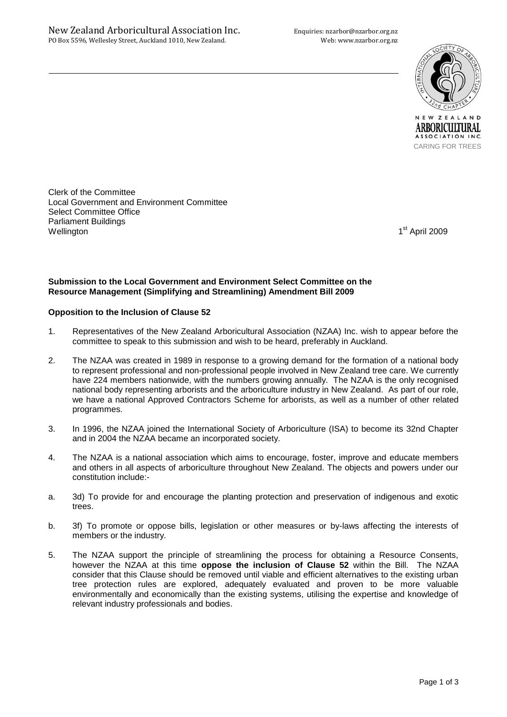

ARBORICULTURAL ASSOCIATION INC. CARING FOR TREES

Clerk of the Committee Local Government and Environment Committee Select Committee Office Parliament Buildings Wellington 1

1<sup>st</sup> April 2009

## **Submission to the Local Government and Environment Select Committee on the Resource Management (Simplifying and Streamlining) Amendment Bill 2009**

## **Opposition to the Inclusion of Clause 52**

- 1. Representatives of the New Zealand Arboricultural Association (NZAA) Inc. wish to appear before the committee to speak to this submission and wish to be heard, preferably in Auckland.
- 2. The NZAA was created in 1989 in response to a growing demand for the formation of a national body to represent professional and non-professional people involved in New Zealand tree care. We currently have 224 members nationwide, with the numbers growing annually. The NZAA is the only recognised national body representing arborists and the arboriculture industry in New Zealand. As part of our role, we have a national Approved Contractors Scheme for arborists, as well as a number of other related programmes.
- 3. In 1996, the NZAA joined the International Society of Arboriculture (ISA) to become its 32nd Chapter and in 2004 the NZAA became an incorporated society.
- 4. The NZAA is a national association which aims to encourage, foster, improve and educate members and others in all aspects of arboriculture throughout New Zealand. The objects and powers under our constitution include:-
- a. 3d) To provide for and encourage the planting protection and preservation of indigenous and exotic trees.
- b. 3f) To promote or oppose bills, legislation or other measures or by-laws affecting the interests of members or the industry.
- 5. The NZAA support the principle of streamlining the process for obtaining a Resource Consents, however the NZAA at this time **oppose the inclusion of Clause 52** within the Bill. The NZAA consider that this Clause should be removed until viable and efficient alternatives to the existing urban tree protection rules are explored, adequately evaluated and proven to be more valuable environmentally and economically than the existing systems, utilising the expertise and knowledge of relevant industry professionals and bodies.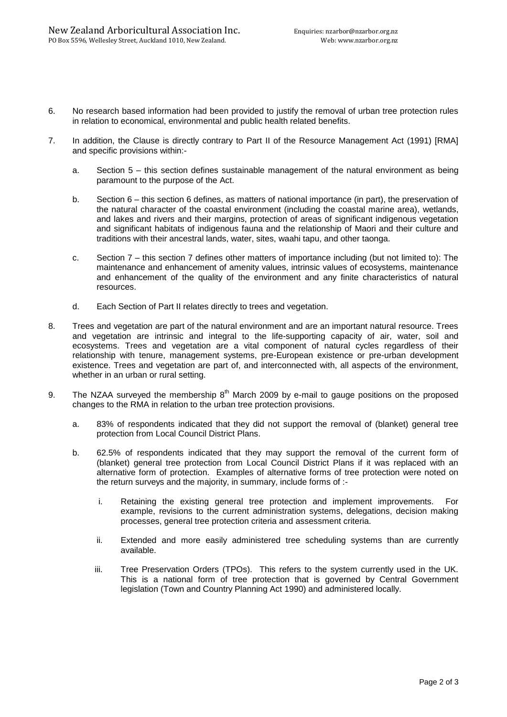- 6. No research based information had been provided to justify the removal of urban tree protection rules in relation to economical, environmental and public health related benefits.
- 7. In addition, the Clause is directly contrary to Part II of the Resource Management Act (1991) [RMA] and specific provisions within:
	- a. Section 5 this section defines sustainable management of the natural environment as being paramount to the purpose of the Act.
	- b. Section 6 this section 6 defines, as matters of national importance (in part), the preservation of the natural character of the coastal environment (including the coastal marine area), wetlands, and lakes and rivers and their margins, protection of areas of significant indigenous vegetation and significant habitats of indigenous fauna and the relationship of Maori and their culture and traditions with their ancestral lands, water, sites, waahi tapu, and other taonga.
	- c. Section 7 this section 7 defines other matters of importance including (but not limited to): The maintenance and enhancement of amenity values, intrinsic values of ecosystems, maintenance and enhancement of the quality of the environment and any finite characteristics of natural resources.
	- d. Each Section of Part II relates directly to trees and vegetation.
- 8. Trees and vegetation are part of the natural environment and are an important natural resource. Trees and vegetation are intrinsic and integral to the life-supporting capacity of air, water, soil and ecosystems. Trees and vegetation are a vital component of natural cycles regardless of their relationship with tenure, management systems, pre-European existence or pre-urban development existence. Trees and vegetation are part of, and interconnected with, all aspects of the environment, whether in an urban or rural setting.
- 9. The NZAA surveyed the membership  $8<sup>th</sup>$  March 2009 by e-mail to gauge positions on the proposed changes to the RMA in relation to the urban tree protection provisions.
	- a. 83% of respondents indicated that they did not support the removal of (blanket) general tree protection from Local Council District Plans.
	- b. 62.5% of respondents indicated that they may support the removal of the current form of (blanket) general tree protection from Local Council District Plans if it was replaced with an alternative form of protection. Examples of alternative forms of tree protection were noted on the return surveys and the majority, in summary, include forms of :
		- i. Retaining the existing general tree protection and implement improvements. For example, revisions to the current administration systems, delegations, decision making processes, general tree protection criteria and assessment criteria.
		- ii. Extended and more easily administered tree scheduling systems than are currently available.
		- iii. Tree Preservation Orders (TPOs). This refers to the system currently used in the UK. This is a national form of tree protection that is governed by Central Government legislation (Town and Country Planning Act 1990) and administered locally.